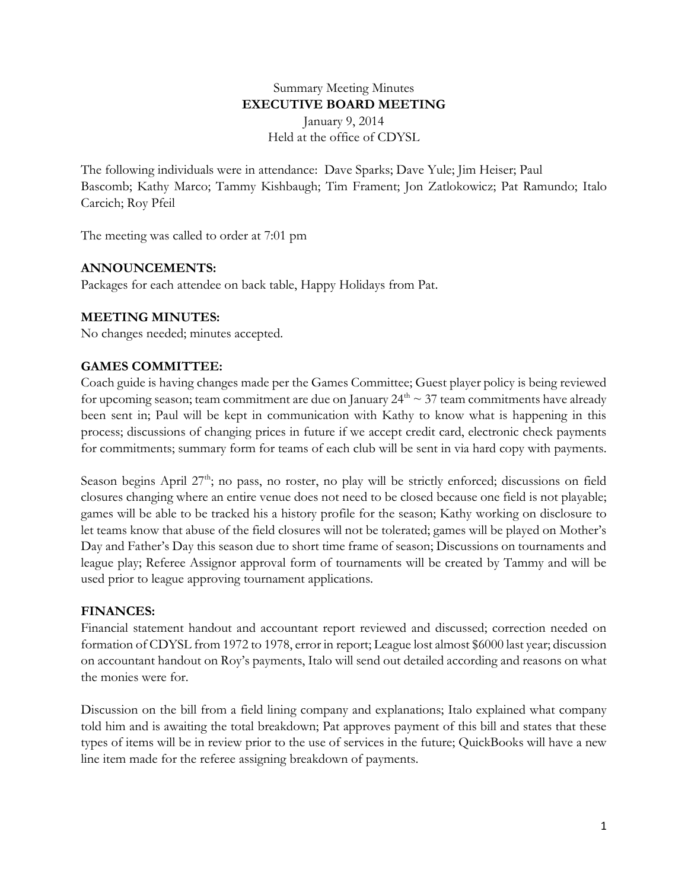### Summary Meeting Minutes **EXECUTIVE BOARD MEETING** January 9, 2014 Held at the office of CDYSL

The following individuals were in attendance: Dave Sparks; Dave Yule; Jim Heiser; Paul Bascomb; Kathy Marco; Tammy Kishbaugh; Tim Frament; Jon Zatlokowicz; Pat Ramundo; Italo Carcich; Roy Pfeil

The meeting was called to order at 7:01 pm

## **ANNOUNCEMENTS:**

Packages for each attendee on back table, Happy Holidays from Pat.

# **MEETING MINUTES:**

No changes needed; minutes accepted.

# **GAMES COMMITTEE:**

Coach guide is having changes made per the Games Committee; Guest player policy is being reviewed for upcoming season; team commitment are due on January  $24<sup>th</sup> \sim 37$  team commitments have already been sent in; Paul will be kept in communication with Kathy to know what is happening in this process; discussions of changing prices in future if we accept credit card, electronic check payments for commitments; summary form for teams of each club will be sent in via hard copy with payments.

Season begins April 27<sup>th</sup>; no pass, no roster, no play will be strictly enforced; discussions on field closures changing where an entire venue does not need to be closed because one field is not playable; games will be able to be tracked his a history profile for the season; Kathy working on disclosure to let teams know that abuse of the field closures will not be tolerated; games will be played on Mother's Day and Father's Day this season due to short time frame of season; Discussions on tournaments and league play; Referee Assignor approval form of tournaments will be created by Tammy and will be used prior to league approving tournament applications.

# **FINANCES:**

Financial statement handout and accountant report reviewed and discussed; correction needed on formation of CDYSL from 1972 to 1978, error in report; League lost almost \$6000 last year; discussion on accountant handout on Roy's payments, Italo will send out detailed according and reasons on what the monies were for.

Discussion on the bill from a field lining company and explanations; Italo explained what company told him and is awaiting the total breakdown; Pat approves payment of this bill and states that these types of items will be in review prior to the use of services in the future; QuickBooks will have a new line item made for the referee assigning breakdown of payments.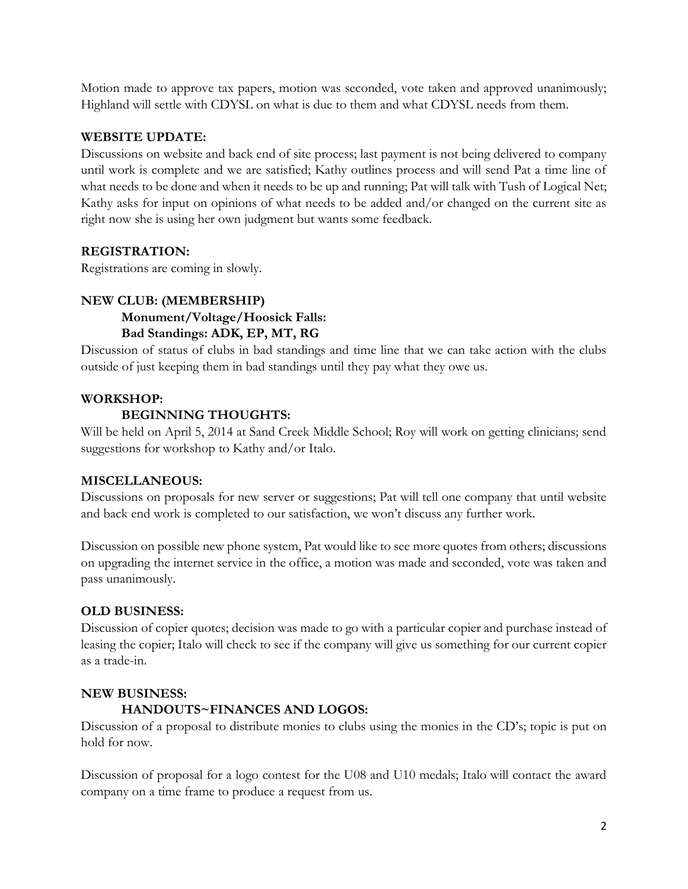Motion made to approve tax papers, motion was seconded, vote taken and approved unanimously; Highland will settle with CDYSL on what is due to them and what CDYSL needs from them.

## **WEBSITE UPDATE:**

Discussions on website and back end of site process; last payment is not being delivered to company until work is complete and we are satisfied; Kathy outlines process and will send Pat a time line of what needs to be done and when it needs to be up and running; Pat will talk with Tush of Logical Net; Kathy asks for input on opinions of what needs to be added and/or changed on the current site as right now she is using her own judgment but wants some feedback.

## **REGISTRATION:**

Registrations are coming in slowly.

# **NEW CLUB: (MEMBERSHIP) Monument/Voltage/Hoosick Falls: Bad Standings: ADK, EP, MT, RG**

Discussion of status of clubs in bad standings and time line that we can take action with the clubs outside of just keeping them in bad standings until they pay what they owe us.

## **WORKSHOP:**

## **BEGINNING THOUGHTS:**

Will be held on April 5, 2014 at Sand Creek Middle School; Roy will work on getting clinicians; send suggestions for workshop to Kathy and/or Italo.

### **MISCELLANEOUS:**

Discussions on proposals for new server or suggestions; Pat will tell one company that until website and back end work is completed to our satisfaction, we won't discuss any further work.

Discussion on possible new phone system, Pat would like to see more quotes from others; discussions on upgrading the internet service in the office, a motion was made and seconded, vote was taken and pass unanimously.

# **OLD BUSINESS:**

Discussion of copier quotes; decision was made to go with a particular copier and purchase instead of leasing the copier; Italo will check to see if the company will give us something for our current copier as a trade-in.

### **NEW BUSINESS:**

# **HANDOUTS~FINANCES AND LOGOS:**

Discussion of a proposal to distribute monies to clubs using the monies in the CD's; topic is put on hold for now.

Discussion of proposal for a logo contest for the U08 and U10 medals; Italo will contact the award company on a time frame to produce a request from us.